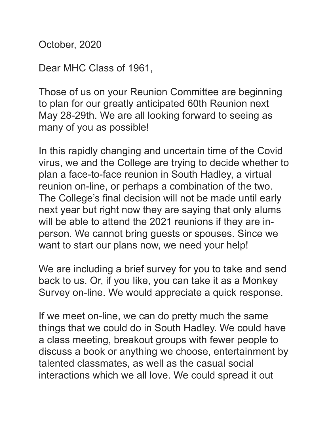October, 2020

Dear MHC Class of 1961,

Those of us on your Reunion Committee are beginning to plan for our greatly anticipated 60th Reunion next May 28-29th. We are all looking forward to seeing as many of you as possible!

In this rapidly changing and uncertain time of the Covid virus, we and the College are trying to decide whether to plan a face-to-face reunion in South Hadley, a virtual reunion on-line, or perhaps a combination of the two. The College's final decision will not be made until early next year but right now they are saying that only alums will be able to attend the 2021 reunions if they are inperson. We cannot bring guests or spouses. Since we want to start our plans now, we need your help!

We are including a brief survey for you to take and send back to us. Or, if you like, you can take it as a Monkey Survey on-line. We would appreciate a quick response.

If we meet on-line, we can do pretty much the same things that we could do in South Hadley. We could have a class meeting, breakout groups with fewer people to discuss a book or anything we choose, entertainment by talented classmates, as well as the casual social interactions which we all love. We could spread it out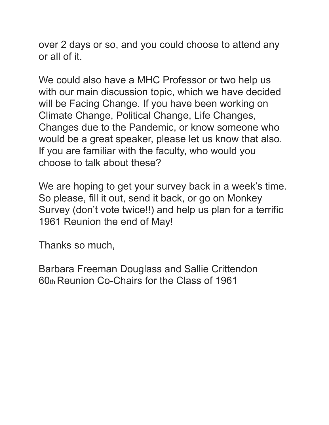over 2 days or so, and you could choose to attend any or all of it.

We could also have a MHC Professor or two help us with our main discussion topic, which we have decided will be Facing Change. If you have been working on Climate Change, Political Change, Life Changes, Changes due to the Pandemic, or know someone who would be a great speaker, please let us know that also. If you are familiar with the faculty, who would you choose to talk about these?

We are hoping to get your survey back in a week's time. So please, fill it out, send it back, or go on Monkey Survey (don't vote twice!!) and help us plan for a terrific 1961 Reunion the end of May!

Thanks so much,

Barbara Freeman Douglass and Sallie Crittendon 60th Reunion Co-Chairs for the Class of 1961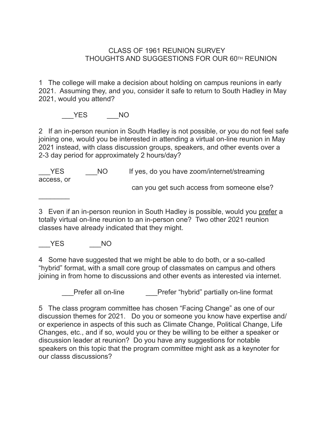## CLASS OF 1961 REUNION SURVEY THOUGHTS AND SUGGESTIONS FOR OUR 60TH REUNION

1 The college will make a decision about holding on campus reunions in early 2021. Assuming they, and you, consider it safe to return to South Hadley in May 2021, would you attend?

YES NO

2 If an in-person reunion in South Hadley is not possible, or you do not feel safe joining one, would you be interested in attending a virtual on-line reunion in May 2021 instead, with class discussion groups, speakers, and other events over a 2-3 day period for approximately 2 hours/day?

YES NO If yes, do you have zoom/internet/streaming access, or can you get such access from someone else?

3 Even if an in-person reunion in South Hadley is possible, would you prefer a totally virtual on-line reunion to an in-person one? Two other 2021 reunion classes have already indicated that they might.

YES NO

 $\frac{1}{2}$ 

4 Some have suggested that we might be able to do both, or a so-called "hybrid" format, with a small core group of classmates on campus and others joining in from home to discussions and other events as interested via internet.

Prefer all on-line **Prefer** "hybrid" partially on-line format

5 The class program committee has chosen "Facing Change" as one of our discussion themes for 2021. Do you or someone you know have expertise and/ or experience in aspects of this such as Climate Change, Political Change, Life Changes, etc., and if so, would you or they be willing to be either a speaker or discussion leader at reunion? Do you have any suggestions for notable speakers on this topic that the program committee might ask as a keynoter for our classs discussions?